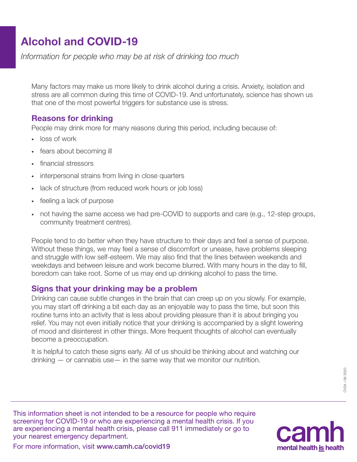# Alcohol and COVID-19

*Information for people who may be at risk of drinking too much*

Many factors may make us more likely to drink alcohol during a crisis. Anxiety, isolation and stress are all common during this time of COVID-19. And unfortunately, science has shown us that one of the most powerful triggers for substance use is stress.

# Reasons for drinking

People may drink more for many reasons during this period, including because of:

- · loss of work
- fears about becoming ill
- financial stressors
- interpersonal strains from living in close quarters
- lack of structure (from reduced work hours or job loss)
- · feeling a lack of purpose
- · not having the same access we had pre-COVID to supports and care (e.g., 12-step groups, community treatment centres).

People tend to do better when they have structure to their days and feel a sense of purpose. Without these things, we may feel a sense of discomfort or unease, have problems sleeping and struggle with low self-esteem. We may also find that the lines between weekends and weekdays and between leisure and work become blurred. With many hours in the day to fill, boredom can take root. Some of us may end up drinking alcohol to pass the time.

### Signs that your drinking may be a problem

Drinking can cause subtle changes in the brain that can creep up on you slowly. For example, you may start off drinking a bit each day as an enjoyable way to pass the time, but soon this routine turns into an activity that is less about providing pleasure than it is about bringing you relief. You may not even initially notice that your drinking is accompanied by a slight lowering of mood and disinterest in other things. More frequent thoughts of alcohol can eventually become a preoccupation.

It is helpful to catch these signs early. All of us should be thinking about and watching our drinking — or cannabis use— in the same way that we monitor our nutrition.

> CV34 / 06-2020 CV34 / 06-2020

This information sheet is not intended to be a resource for people who require screening for COVID-19 or who are experiencing a mental health crisis. If you are experiencing a mental health crisis, please call 911 immediately or go to your nearest emergency department.



For more information, visit www.camh.ca/covid19